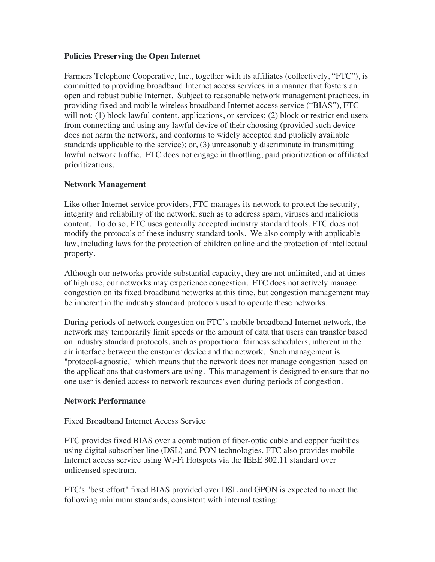### **Policies Preserving the Open Internet**

Farmers Telephone Cooperative, Inc., together with its affiliates (collectively, "FTC"), is committed to providing broadband Internet access services in a manner that fosters an open and robust public Internet. Subject to reasonable network management practices, in providing fixed and mobile wireless broadband Internet access service ("BIAS"), FTC will not: (1) block lawful content, applications, or services; (2) block or restrict end users from connecting and using any lawful device of their choosing (provided such device does not harm the network, and conforms to widely accepted and publicly available standards applicable to the service); or, (3) unreasonably discriminate in transmitting lawful network traffic. FTC does not engage in throttling, paid prioritization or affiliated prioritizations.

# **Network Management**

Like other Internet service providers, FTC manages its network to protect the security, integrity and reliability of the network, such as to address spam, viruses and malicious content. To do so, FTC uses generally accepted industry standard tools. FTC does not modify the protocols of these industry standard tools. We also comply with applicable law, including laws for the protection of children online and the protection of intellectual property.

Although our networks provide substantial capacity, they are not unlimited, and at times of high use, our networks may experience congestion. FTC does not actively manage congestion on its fixed broadband networks at this time, but congestion management may be inherent in the industry standard protocols used to operate these networks.

During periods of network congestion on FTC's mobile broadband Internet network, the network may temporarily limit speeds or the amount of data that users can transfer based on industry standard protocols, such as proportional fairness schedulers, inherent in the air interface between the customer device and the network. Such management is "protocol-agnostic," which means that the network does not manage congestion based on the applications that customers are using. This management is designed to ensure that no one user is denied access to network resources even during periods of congestion.

# **Network Performance**

### Fixed Broadband Internet Access Service

FTC provides fixed BIAS over a combination of fiber-optic cable and copper facilities using digital subscriber line (DSL) and PON technologies. FTC also provides mobile Internet access service using Wi-Fi Hotspots via the IEEE 802.11 standard over unlicensed spectrum.

FTC's "best effort" fixed BIAS provided over DSL and GPON is expected to meet the following minimum standards, consistent with internal testing: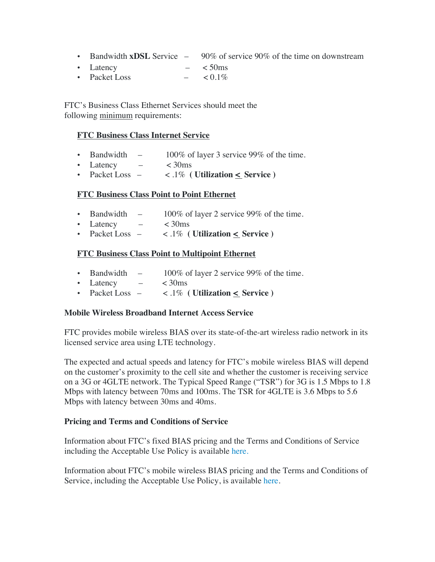- Bandwidth **xDSL** Service 90% of service 90% of the time on downstream
- Latency  $< 50 \text{ms}$
- Packet Loss  $< 0.1\%$

FTC's Business Class Ethernet Services should meet the following minimum requirements:

## **FTC Business Class Internet Service**

- Bandwidth 100% of layer 3 service 99% of the time.
- Latency  $-$  < 30ms
- Packet Loss  $-$  <  $.1\%$  ( Utilization  $\leq$  Service )

## **FTC Business Class Point to Point Ethernet**

- Bandwidth  $-$  100% of layer 2 service 99% of the time.
- Latency  $< 30 \text{ms}$
- Packet Loss  $-$  < .1% ( Utilization  $\leq$  Service )

## **FTC Business Class Point to Multipoint Ethernet**

- Bandwidth  $-$  100% of layer 2 service 99% of the time.
- Latency  $< 30$ ms
- Packet Loss < .1% **( Utilization < Service )**

### **Mobile Wireless Broadband Internet Access Service**

FTC provides mobile wireless BIAS over its state-of-the-art wireless radio network in its licensed service area using LTE technology.

The expected and actual speeds and latency for FTC's mobile wireless BIAS will depend on the customer's proximity to the cell site and whether the customer is receiving service on a 3G or 4GLTE network. The Typical Speed Range ("TSR") for 3G is 1.5 Mbps to 1.8 Mbps with latency between 70ms and 100ms. The TSR for 4GLTE is 3.6 Mbps to 5.6 Mbps with latency between 30ms and 40ms.

### **Pricing and Terms and Conditions of Service**

Information about FTC's fixed BIAS pricing and the Terms and Conditions of Service including the Acceptable Use Policy is availabl[e](https://www.ftc-i.net/Services/Internet/Terms-Conditions.aspx) [here.](https://www.ftc-i.net/wp-content/uploads/2018/10/Farmers-WBITS-RTC-Effective-11-01-2014.pdf)

Information about FTC's mobile wireless BIAS pricing and the Terms and Conditions of Service, including the Acceptable Use Policy, is available [here](https://www.ftc-i.net/wp-content/uploads/2018/10/Farmers-WBITS-RTC-Effective-11-01-2014.pdf).